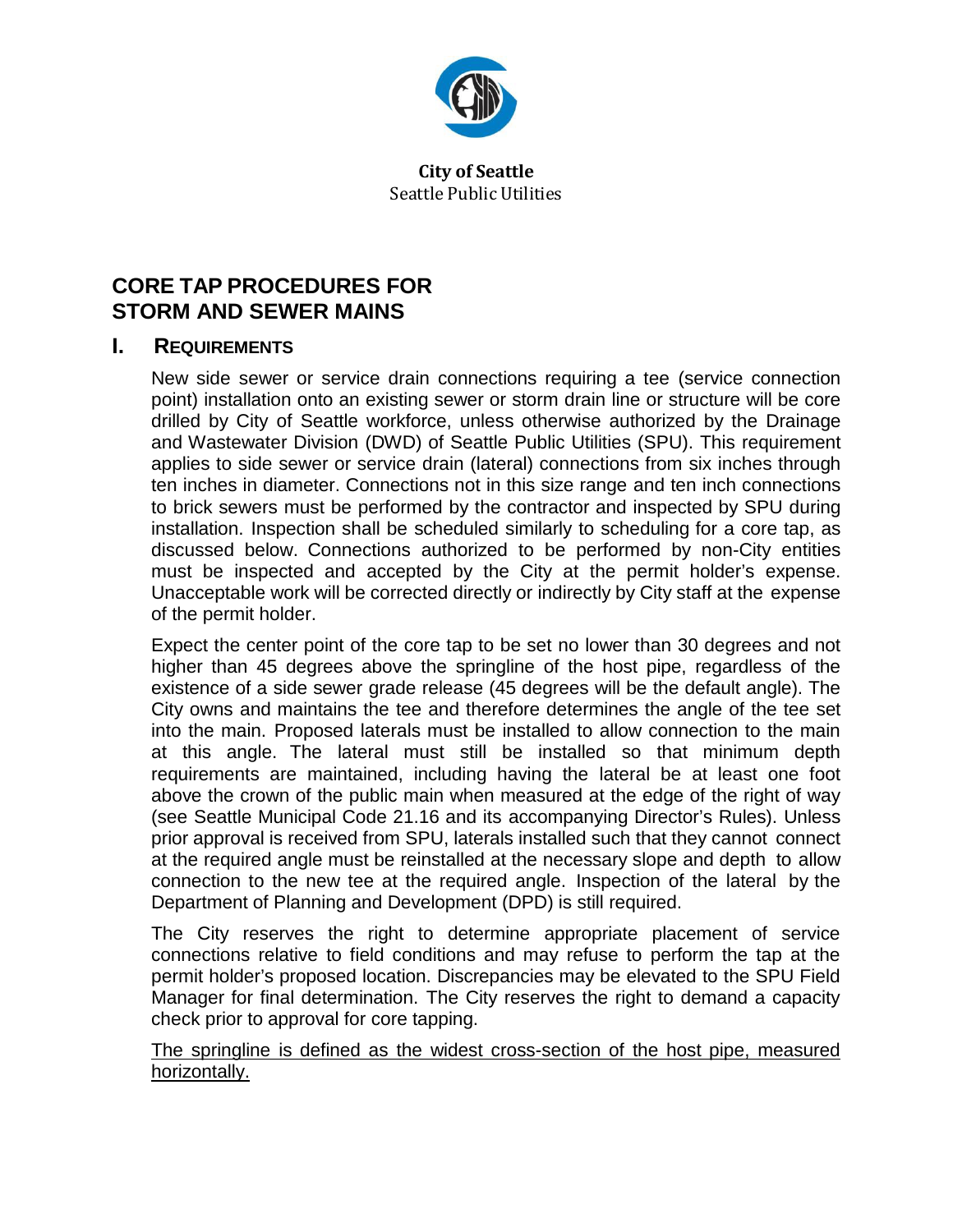

**City of Seattle** Seattle Public Utilities

# **CORE TAP PROCEDURES FOR STORM AND SEWER MAINS**

#### **I. REQUIREMENTS**

New side sewer or service drain connections requiring a tee (service connection point) installation onto an existing sewer or storm drain line or structure will be core drilled by City of Seattle workforce, unless otherwise authorized by the Drainage and Wastewater Division (DWD) of Seattle Public Utilities (SPU). This requirement applies to side sewer or service drain (lateral) connections from six inches through ten inches in diameter. Connections not in this size range and ten inch connections to brick sewers must be performed by the contractor and inspected by SPU during installation. Inspection shall be scheduled similarly to scheduling for a core tap, as discussed below. Connections authorized to be performed by non-City entities must be inspected and accepted by the City at the permit holder's expense. Unacceptable work will be corrected directly or indirectly by City staff at the expense of the permit holder.

Expect the center point of the core tap to be set no lower than 30 degrees and not higher than 45 degrees above the springline of the host pipe, regardless of the existence of a side sewer grade release (45 degrees will be the default angle). The City owns and maintains the tee and therefore determines the angle of the tee set into the main. Proposed laterals must be installed to allow connection to the main at this angle. The lateral must still be installed so that minimum depth requirements are maintained, including having the lateral be at least one foot above the crown of the public main when measured at the edge of the right of way (see Seattle Municipal Code 21.16 and its accompanying Director's Rules). Unless prior approval is received from SPU, laterals installed such that they cannot connect at the required angle must be reinstalled at the necessary slope and depth to allow connection to the new tee at the required angle. Inspection of the lateral by the Department of Planning and Development (DPD) is still required.

The City reserves the right to determine appropriate placement of service connections relative to field conditions and may refuse to perform the tap at the permit holder's proposed location. Discrepancies may be elevated to the SPU Field Manager for final determination. The City reserves the right to demand a capacity check prior to approval for core tapping.

The springline is defined as the widest cross-section of the host pipe, measured horizontally.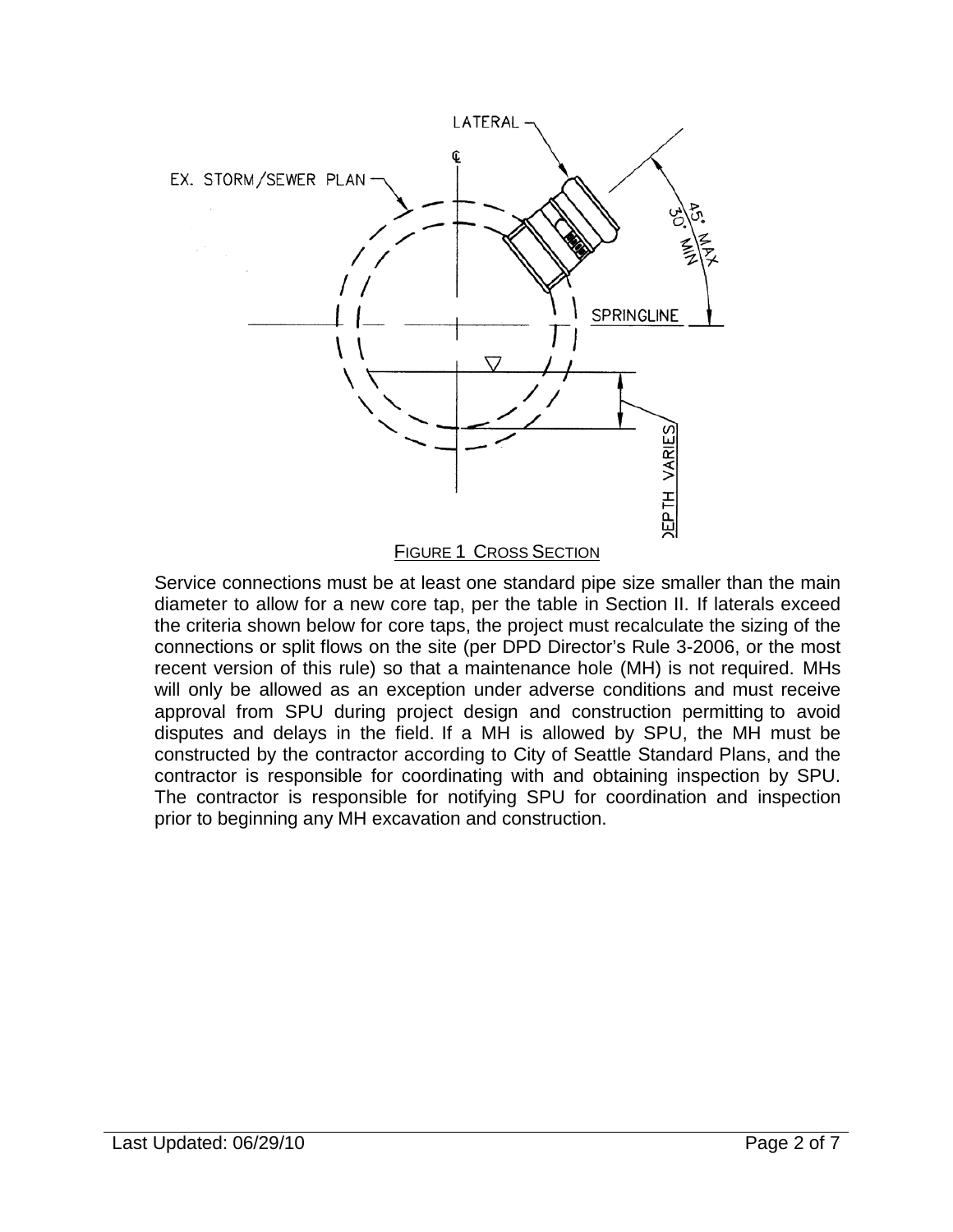

FIGURE 1 CROSS SECTION

Service connections must be at least one standard pipe size smaller than the main diameter to allow for a new core tap, per the table in Section II. If laterals exceed the criteria shown below for core taps, the project must recalculate the sizing of the connections or split flows on the site (per DPD Director's Rule 3-2006, or the most recent version of this rule) so that a maintenance hole (MH) is not required. MHs will only be allowed as an exception under adverse conditions and must receive approval from SPU during project design and construction permitting to avoid disputes and delays in the field. If a MH is allowed by SPU, the MH must be constructed by the contractor according to City of Seattle Standard Plans, and the contractor is responsible for coordinating with and obtaining inspection by SPU. The contractor is responsible for notifying SPU for coordination and inspection prior to beginning any MH excavation and construction.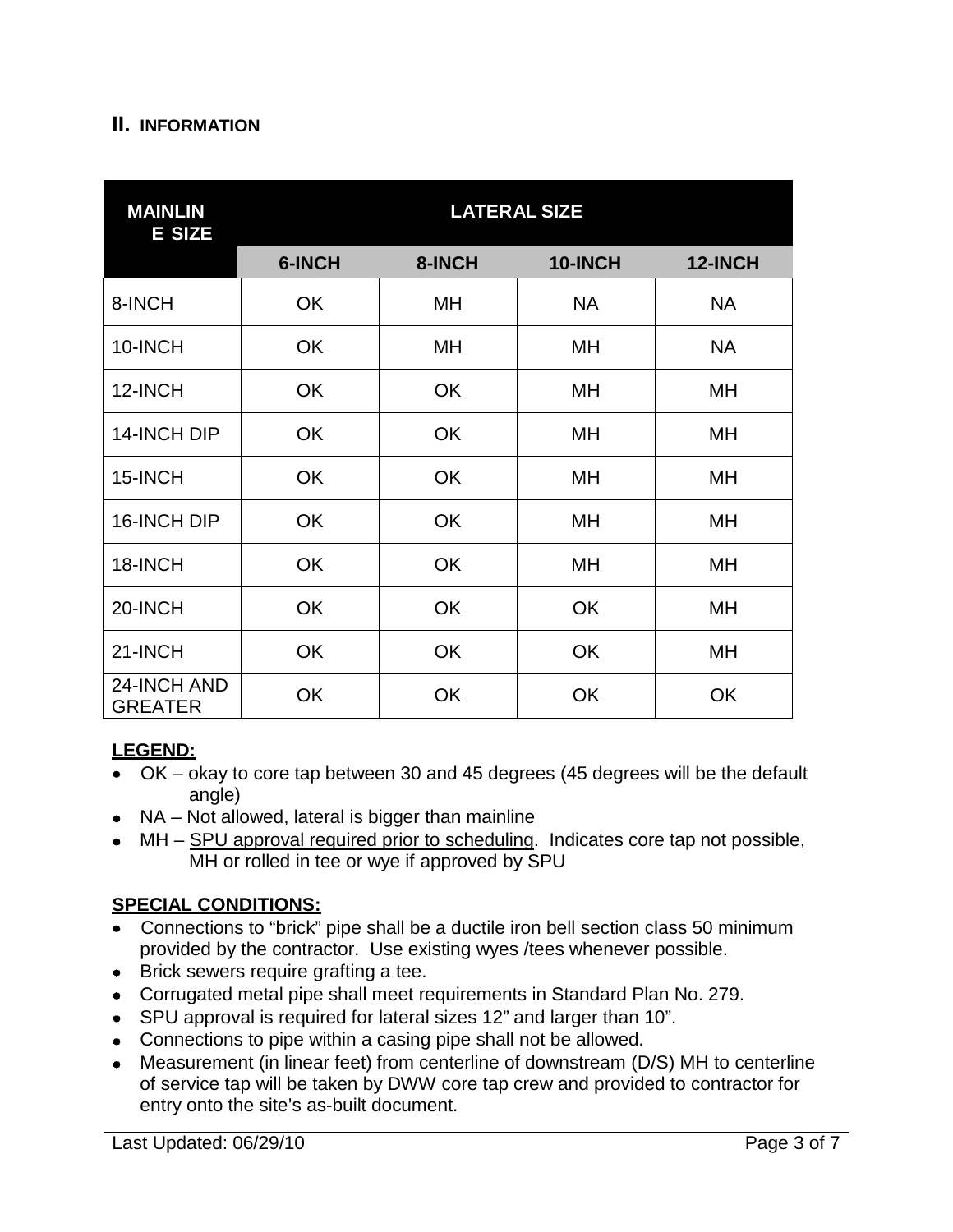#### **II. INFORMATION**

| <b>MAINLIN</b><br><b>E SIZE</b> | <b>LATERAL SIZE</b> |           |           |           |
|---------------------------------|---------------------|-----------|-----------|-----------|
|                                 | 6-INCH              | 8-INCH    | 10-INCH   | 12-INCH   |
| 8-INCH                          | <b>OK</b>           | MH        | <b>NA</b> | <b>NA</b> |
| 10-INCH                         | <b>OK</b>           | MH        | MH        | <b>NA</b> |
| 12-INCH                         | <b>OK</b>           | <b>OK</b> | MН        | MН        |
| 14-INCH DIP                     | <b>OK</b>           | <b>OK</b> | MН        | MН        |
| 15-INCH                         | <b>OK</b>           | <b>OK</b> | MН        | MН        |
| 16-INCH DIP                     | <b>OK</b>           | <b>OK</b> | MН        | MН        |
| 18-INCH                         | <b>OK</b>           | <b>OK</b> | MН        | MН        |
| 20-INCH                         | <b>OK</b>           | <b>OK</b> | <b>OK</b> | MН        |
| 21-INCH                         | <b>OK</b>           | <b>OK</b> | <b>OK</b> | MН        |
| 24-INCH AND<br><b>GREATER</b>   | <b>OK</b>           | <b>OK</b> | OK        | <b>OK</b> |

## **LEGEND:**

- OK okay to core tap between 30 and 45 degrees (45 degrees will be the default angle)
- NA Not allowed, lateral is bigger than mainline
- MH SPU approval required prior to scheduling. Indicates core tap not possible, MH or rolled in tee or wye if approved by SPU

## **SPECIAL CONDITIONS:**

- Connections to "brick" pipe shall be a ductile iron bell section class 50 minimum provided by the contractor. Use existing wyes /tees whenever possible.
- Brick sewers require grafting a tee.
- Corrugated metal pipe shall meet requirements in Standard Plan No. 279.
- SPU approval is required for lateral sizes 12" and larger than 10".
- Connections to pipe within a casing pipe shall not be allowed.
- Measurement (in linear feet) from centerline of downstream (D/S) MH to centerline of service tap will be taken by DWW core tap crew and provided to contractor for entry onto the site's as-built document.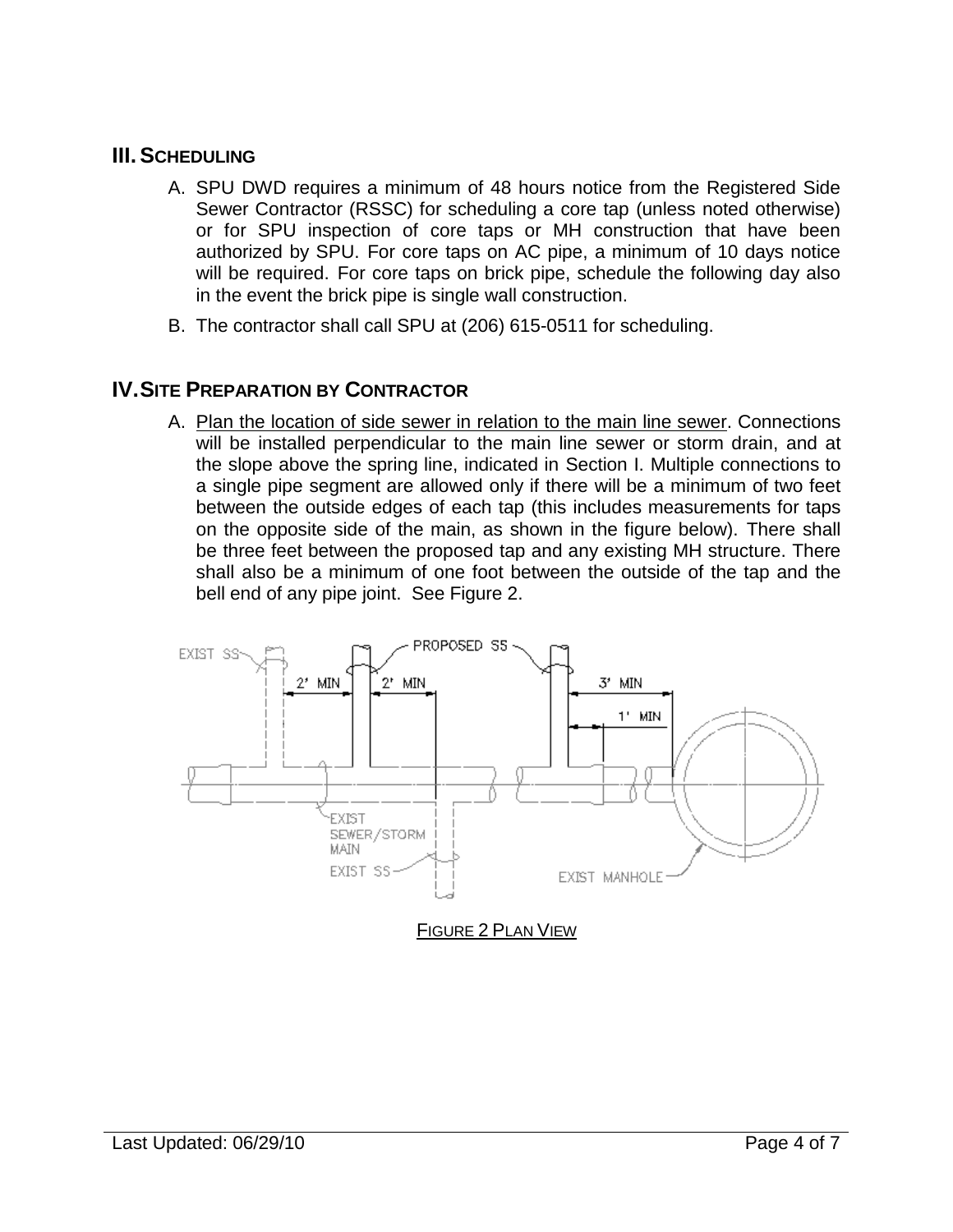## **III.SCHEDULING**

- A. SPU DWD requires a minimum of 48 hours notice from the Registered Side Sewer Contractor (RSSC) for scheduling a core tap (unless noted otherwise) or for SPU inspection of core taps or MH construction that have been authorized by SPU. For core taps on AC pipe, a minimum of 10 days notice will be required. For core taps on brick pipe, schedule the following day also in the event the brick pipe is single wall construction.
- B. The contractor shall call SPU at (206) 615-0511 for scheduling.

#### **IV.SITE PREPARATION BY CONTRACTOR**

A. Plan the location of side sewer in relation to the main line sewer. Connections will be installed perpendicular to the main line sewer or storm drain, and at the slope above the spring line, indicated in Section I. Multiple connections to a single pipe segment are allowed only if there will be a minimum of two feet between the outside edges of each tap (this includes measurements for taps on the opposite side of the main, as shown in the figure below). There shall be three feet between the proposed tap and any existing MH structure. There shall also be a minimum of one foot between the outside of the tap and the bell end of any pipe joint. See Figure 2.

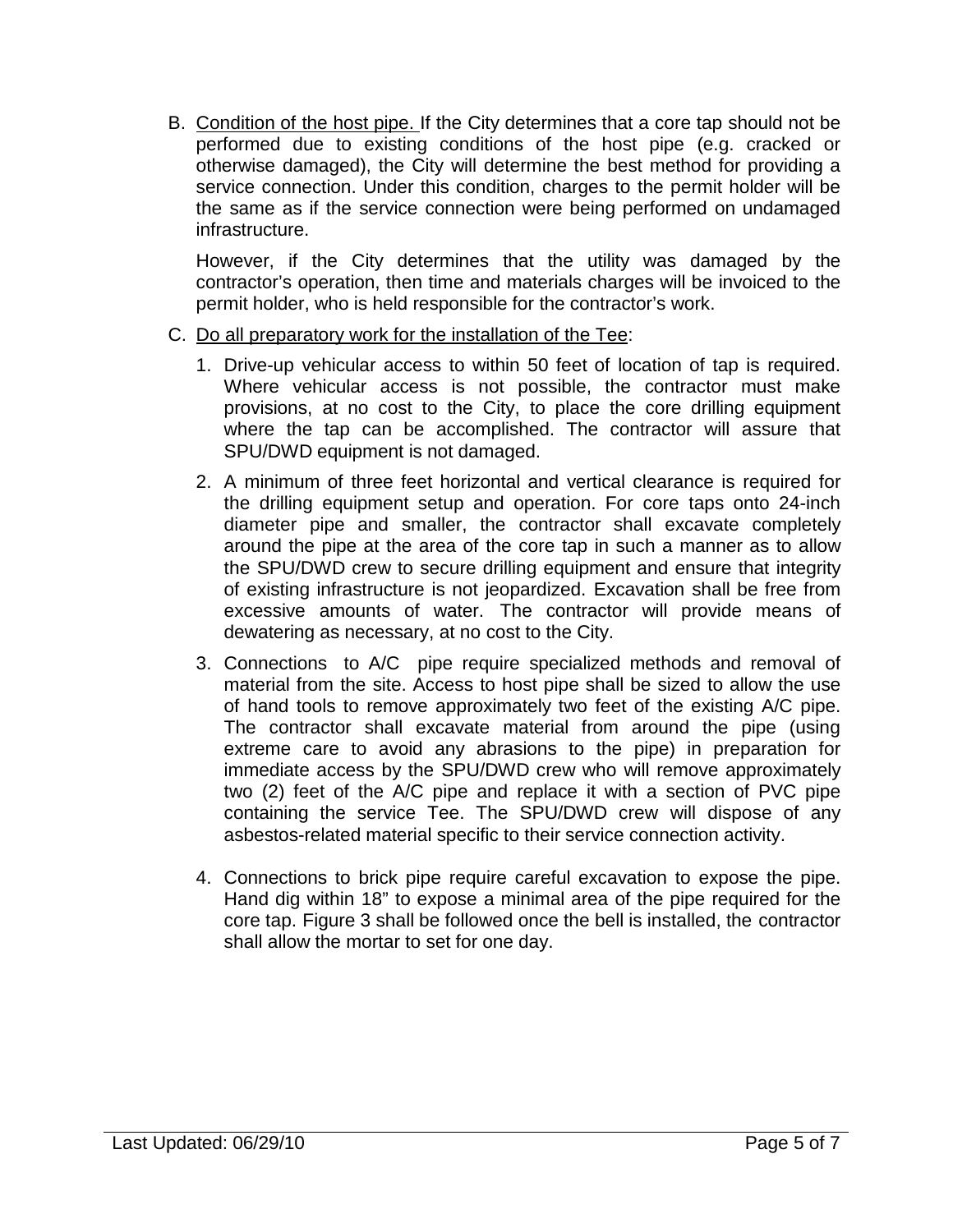B. Condition of the host pipe. If the City determines that a core tap should not be performed due to existing conditions of the host pipe (e.g. cracked or otherwise damaged), the City will determine the best method for providing a service connection. Under this condition, charges to the permit holder will be the same as if the service connection were being performed on undamaged infrastructure.

However, if the City determines that the utility was damaged by the contractor's operation, then time and materials charges will be invoiced to the permit holder, who is held responsible for the contractor's work.

- C. Do all preparatory work for the installation of the Tee:
	- 1. Drive-up vehicular access to within 50 feet of location of tap is required. Where vehicular access is not possible, the contractor must make provisions, at no cost to the City, to place the core drilling equipment where the tap can be accomplished. The contractor will assure that SPU/DWD equipment is not damaged.
	- 2. A minimum of three feet horizontal and vertical clearance is required for the drilling equipment setup and operation. For core taps onto 24-inch diameter pipe and smaller, the contractor shall excavate completely around the pipe at the area of the core tap in such a manner as to allow the SPU/DWD crew to secure drilling equipment and ensure that integrity of existing infrastructure is not jeopardized. Excavation shall be free from excessive amounts of water. The contractor will provide means of dewatering as necessary, at no cost to the City.
	- 3. Connections to A/C pipe require specialized methods and removal of material from the site. Access to host pipe shall be sized to allow the use of hand tools to remove approximately two feet of the existing A/C pipe. The contractor shall excavate material from around the pipe (using extreme care to avoid any abrasions to the pipe) in preparation for immediate access by the SPU/DWD crew who will remove approximately two (2) feet of the A/C pipe and replace it with a section of PVC pipe containing the service Tee. The SPU/DWD crew will dispose of any asbestos-related material specific to their service connection activity.
	- 4. Connections to brick pipe require careful excavation to expose the pipe. Hand dig within 18" to expose a minimal area of the pipe required for the core tap. Figure 3 shall be followed once the bell is installed, the contractor shall allow the mortar to set for one day.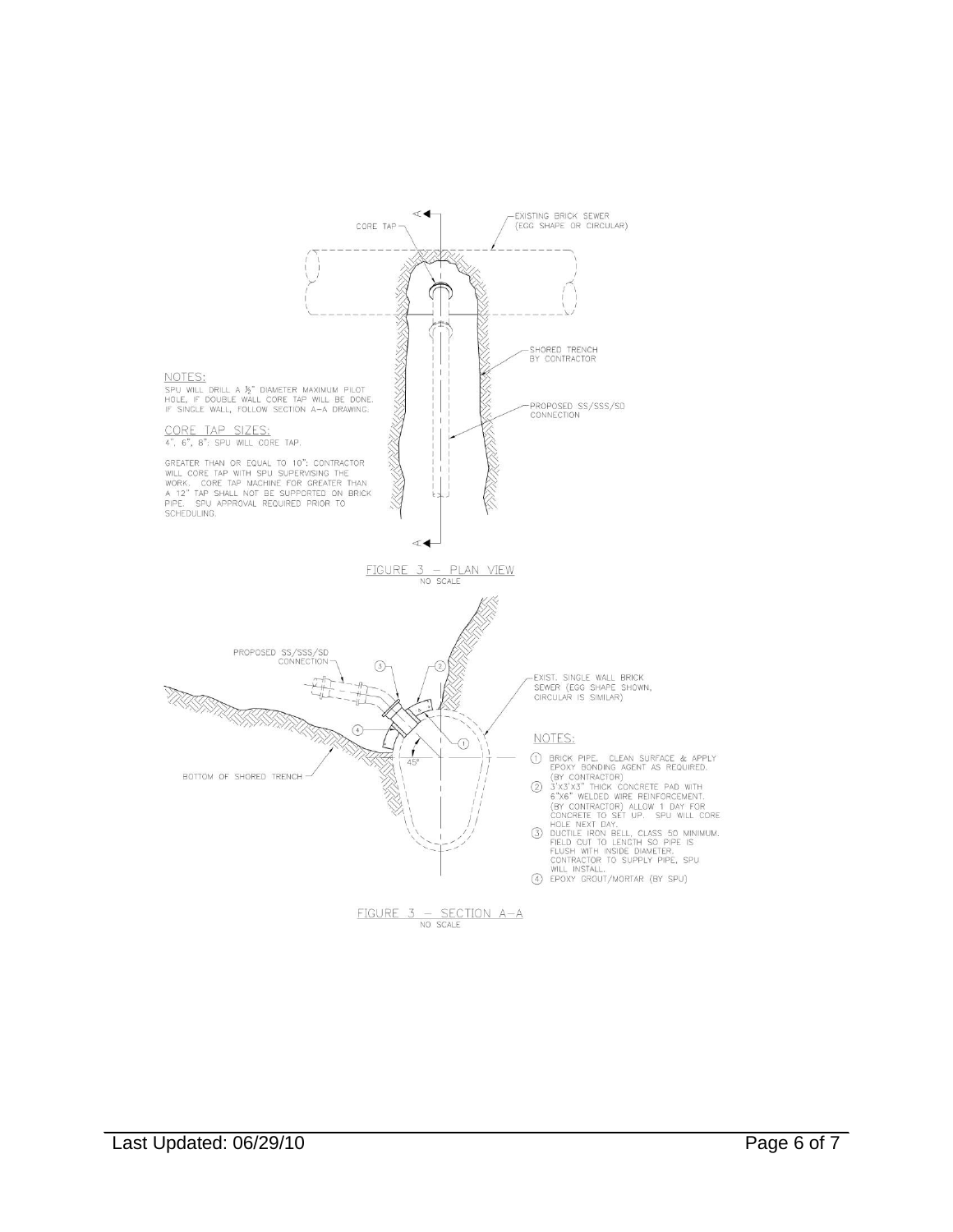